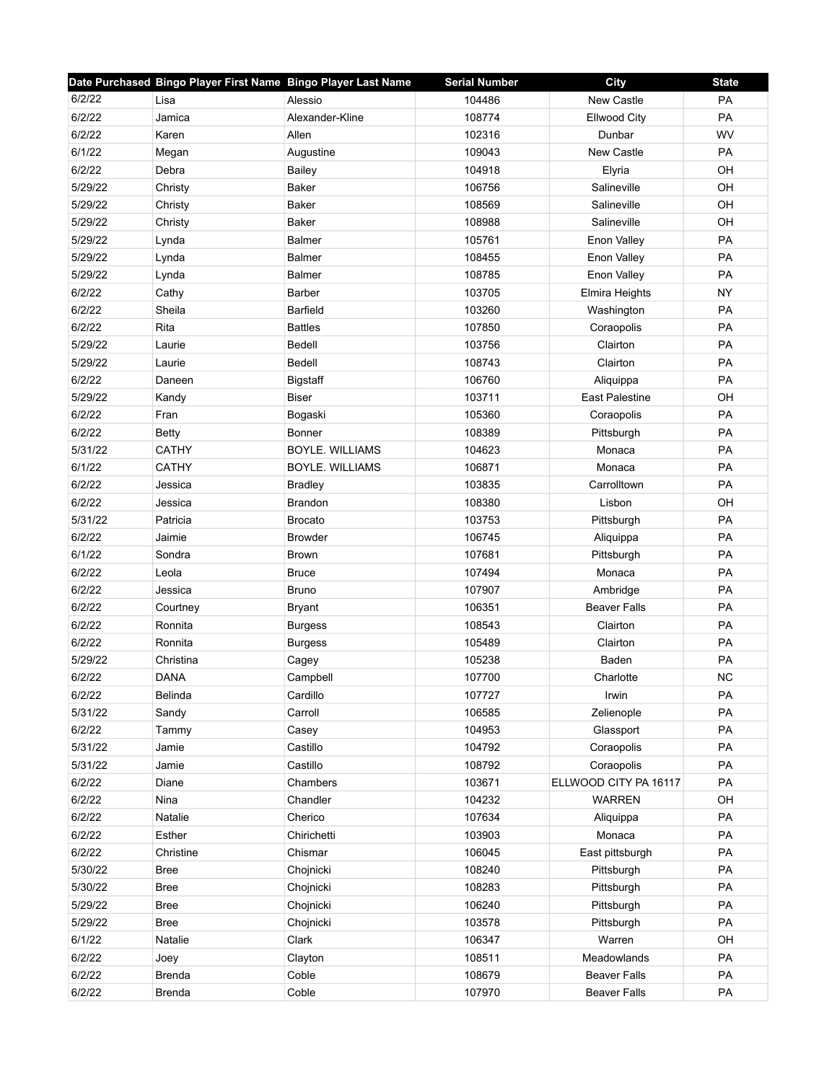|         | Date Purchased Bingo Player First Name Bingo Player Last Name |                        | <b>Serial Number</b> | <b>City</b>           | <b>State</b> |
|---------|---------------------------------------------------------------|------------------------|----------------------|-----------------------|--------------|
| 6/2/22  | Lisa                                                          | Alessio                | 104486               | New Castle            | <b>PA</b>    |
| 6/2/22  | Jamica                                                        | Alexander-Kline        | 108774               | <b>Ellwood City</b>   | PA           |
| 6/2/22  | Karen                                                         | Allen                  | 102316               | Dunbar                | WV           |
| 6/1/22  | Megan                                                         | Augustine              | 109043               | <b>New Castle</b>     | PA           |
| 6/2/22  | Debra                                                         | Bailey                 | 104918               | Elyria                | OH           |
| 5/29/22 | Christy                                                       | Baker                  | 106756               | Salineville           | OH           |
| 5/29/22 | Christy                                                       | <b>Baker</b>           | 108569               | Salineville           | OH           |
| 5/29/22 | Christy                                                       | Baker                  | 108988               | Salineville           | OH           |
| 5/29/22 | Lynda                                                         | <b>Balmer</b>          | 105761               | Enon Valley           | PA           |
| 5/29/22 | Lynda                                                         | <b>Balmer</b>          | 108455               | Enon Valley           | PA           |
| 5/29/22 | Lynda                                                         | <b>Balmer</b>          | 108785               | Enon Valley           | PA           |
| 6/2/22  | Cathy                                                         | Barber                 | 103705               | Elmira Heights        | <b>NY</b>    |
| 6/2/22  | Sheila                                                        | Barfield               | 103260               | Washington            | PA           |
| 6/2/22  | Rita                                                          | <b>Battles</b>         | 107850               | Coraopolis            | PA           |
| 5/29/22 | Laurie                                                        | Bedell                 | 103756               | Clairton              | PA           |
| 5/29/22 | Laurie                                                        | Bedell                 | 108743               | Clairton              | PA           |
| 6/2/22  | Daneen                                                        | <b>Bigstaff</b>        | 106760               | Aliquippa             | PA           |
| 5/29/22 | Kandy                                                         | <b>Biser</b>           | 103711               | <b>East Palestine</b> | OH           |
| 6/2/22  | Fran                                                          | Bogaski                | 105360               | Coraopolis            | <b>PA</b>    |
| 6/2/22  | Betty                                                         | <b>Bonner</b>          | 108389               | Pittsburgh            | PA           |
| 5/31/22 | <b>CATHY</b>                                                  | <b>BOYLE. WILLIAMS</b> | 104623               | Monaca                | PA           |
| 6/1/22  | <b>CATHY</b>                                                  | <b>BOYLE. WILLIAMS</b> | 106871               | Monaca                | PA           |
| 6/2/22  | Jessica                                                       | <b>Bradley</b>         | 103835               | Carrolltown           | PA           |
| 6/2/22  | Jessica                                                       | <b>Brandon</b>         | 108380               | Lisbon                | OH           |
| 5/31/22 | Patricia                                                      | <b>Brocato</b>         | 103753               | Pittsburgh            | PA           |
| 6/2/22  | Jaimie                                                        | <b>Browder</b>         | 106745               | Aliquippa             | PA           |
| 6/1/22  | Sondra                                                        | <b>Brown</b>           | 107681               | Pittsburgh            | PA           |
| 6/2/22  | Leola                                                         | <b>Bruce</b>           | 107494               | Monaca                | PA           |
| 6/2/22  | Jessica                                                       | <b>Bruno</b>           | 107907               | Ambridge              | PA           |
| 6/2/22  | Courtney                                                      | <b>Bryant</b>          | 106351               | <b>Beaver Falls</b>   | <b>PA</b>    |
| 6/2/22  | Ronnita                                                       | <b>Burgess</b>         | 108543               | Clairton              | PA           |
| 6/2/22  | Ronnita                                                       | <b>Burgess</b>         | 105489               | Clairton              | PA           |
| 5/29/22 | Christina                                                     | Cagey                  | 105238               | Baden                 | PA           |
| 6/2/22  | <b>DANA</b>                                                   | Campbell               | 107700               | Charlotte             | <b>NC</b>    |
| 6/2/22  | Belinda                                                       | Cardillo               | 107727               | Irwin                 | PA           |
| 5/31/22 | Sandy                                                         | Carroll                | 106585               | Zelienople            | PA           |
| 6/2/22  | Tammy                                                         | Casey                  | 104953               | Glassport             | PA           |
| 5/31/22 | Jamie                                                         | Castillo               | 104792               | Coraopolis            | PA           |
| 5/31/22 | Jamie                                                         | Castillo               | 108792               | Coraopolis            | PA           |
| 6/2/22  | Diane                                                         | Chambers               | 103671               | ELLWOOD CITY PA 16117 | PA           |
| 6/2/22  | Nina                                                          | Chandler               | 104232               | <b>WARREN</b>         | OH           |
| 6/2/22  | Natalie                                                       | Cherico                | 107634               | Aliquippa             | PA           |
| 6/2/22  | Esther                                                        | Chirichetti            | 103903               | Monaca                | PA           |
| 6/2/22  | Christine                                                     | Chismar                | 106045               | East pittsburgh       | PA           |
| 5/30/22 | <b>Bree</b>                                                   | Chojnicki              | 108240               | Pittsburgh            | PA           |
| 5/30/22 | <b>Bree</b>                                                   | Chojnicki              | 108283               | Pittsburgh            | PA           |
| 5/29/22 | <b>Bree</b>                                                   | Chojnicki              | 106240               | Pittsburgh            | PA           |
| 5/29/22 | <b>Bree</b>                                                   | Chojnicki              | 103578               | Pittsburgh            | PA           |
| 6/1/22  | Natalie                                                       | Clark                  | 106347               | Warren                | OH           |
| 6/2/22  | Joey                                                          | Clayton                | 108511               | Meadowlands           | PA           |
| 6/2/22  | <b>Brenda</b>                                                 | Coble                  | 108679               | <b>Beaver Falls</b>   | PA           |
| 6/2/22  | <b>Brenda</b>                                                 | Coble                  | 107970               | <b>Beaver Falls</b>   | PA           |
|         |                                                               |                        |                      |                       |              |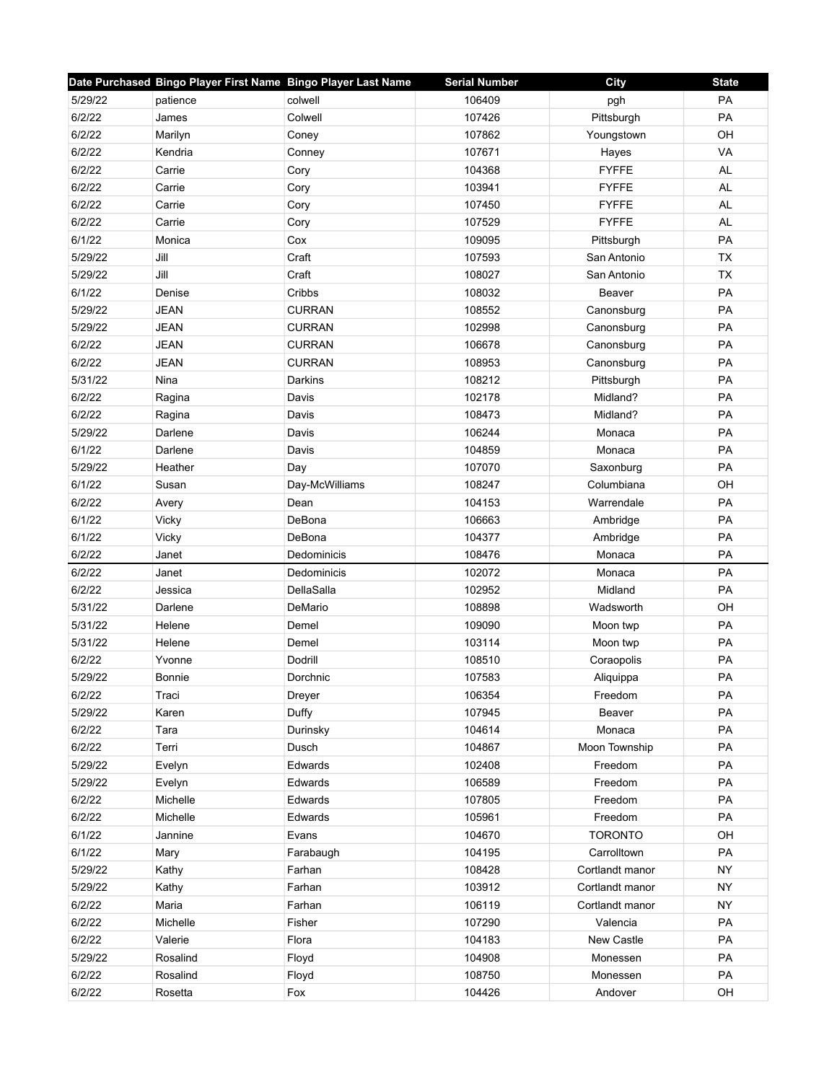|         | Date Purchased Bingo Player First Name Bingo Player Last Name |                | <b>Serial Number</b> | <b>City</b>     | <b>State</b> |
|---------|---------------------------------------------------------------|----------------|----------------------|-----------------|--------------|
| 5/29/22 | patience                                                      | colwell        | 106409               | pgh             | PA           |
| 6/2/22  | James                                                         | Colwell        | 107426               | Pittsburgh      | PA           |
| 6/2/22  | Marilyn                                                       | Coney          | 107862               | Youngstown      | OH           |
| 6/2/22  | Kendria                                                       | Conney         | 107671               | Hayes           | VA           |
| 6/2/22  | Carrie                                                        | Cory           | 104368               | <b>FYFFE</b>    | <b>AL</b>    |
| 6/2/22  | Carrie                                                        | Cory           | 103941               | <b>FYFFE</b>    | AL           |
| 6/2/22  | Carrie                                                        | Cory           | 107450               | <b>FYFFE</b>    | AL           |
| 6/2/22  | Carrie                                                        | Cory           | 107529               | <b>FYFFE</b>    | <b>AL</b>    |
| 6/1/22  | Monica                                                        | Cox            | 109095               | Pittsburgh      | PA           |
| 5/29/22 | Jill                                                          | Craft          | 107593               | San Antonio     | <b>TX</b>    |
| 5/29/22 | Jill                                                          | Craft          | 108027               | San Antonio     | <b>TX</b>    |
| 6/1/22  | Denise                                                        | Cribbs         | 108032               | Beaver          | PA           |
| 5/29/22 | JEAN                                                          | <b>CURRAN</b>  | 108552               | Canonsburg      | PA           |
| 5/29/22 | <b>JEAN</b>                                                   | <b>CURRAN</b>  | 102998               | Canonsburg      | PA           |
| 6/2/22  | <b>JEAN</b>                                                   | <b>CURRAN</b>  | 106678               | Canonsburg      | PA           |
| 6/2/22  | <b>JEAN</b>                                                   | <b>CURRAN</b>  | 108953               | Canonsburg      | PA           |
| 5/31/22 | Nina                                                          | Darkins        | 108212               | Pittsburgh      | PA           |
| 6/2/22  | Ragina                                                        | Davis          | 102178               | Midland?        | PA           |
| 6/2/22  | Ragina                                                        | Davis          | 108473               | Midland?        | <b>PA</b>    |
| 5/29/22 | Darlene                                                       | Davis          | 106244               | Monaca          | PA           |
| 6/1/22  | Darlene                                                       | Davis          | 104859               | Monaca          | PA           |
| 5/29/22 | Heather                                                       | Day            | 107070               | Saxonburg       | PA           |
| 6/1/22  | Susan                                                         | Day-McWilliams | 108247               | Columbiana      | OH           |
| 6/2/22  | Avery                                                         | Dean           | 104153               | Warrendale      | PA           |
| 6/1/22  | Vicky                                                         | DeBona         | 106663               | Ambridge        | PA           |
| 6/1/22  | Vicky                                                         | DeBona         | 104377               | Ambridge        | PA           |
| 6/2/22  | Janet                                                         | Dedominicis    | 108476               | Monaca          | PA           |
| 6/2/22  | Janet                                                         | Dedominicis    | 102072               | Monaca          | PA           |
| 6/2/22  | Jessica                                                       | DellaSalla     | 102952               | Midland         | PA           |
| 5/31/22 | Darlene                                                       | DeMario        | 108898               | Wadsworth       | OH           |
| 5/31/22 | Helene                                                        | Demel          | 109090               | Moon twp        | PA           |
| 5/31/22 | Helene                                                        | Demel          | 103114               | Moon twp        | PA           |
| 6/2/22  | Yvonne                                                        | Dodrill        | 108510               | Coraopolis      | PA           |
| 5/29/22 | Bonnie                                                        | Dorchnic       | 107583               | Aliquippa       | PA           |
| 6/2/22  | Traci                                                         | Dreyer         | 106354               | Freedom         | PA           |
| 5/29/22 | Karen                                                         | Duffy          | 107945               | Beaver          | PA           |
| 6/2/22  | Tara                                                          | Durinsky       | 104614               | Monaca          | PA           |
| 6/2/22  | Terri                                                         | Dusch          | 104867               | Moon Township   | PA           |
| 5/29/22 | Evelyn                                                        | Edwards        | 102408               | Freedom         | PA           |
| 5/29/22 | Evelyn                                                        | Edwards        | 106589               | Freedom         | PA           |
| 6/2/22  | Michelle                                                      | Edwards        | 107805               | Freedom         | PA           |
| 6/2/22  | Michelle                                                      | Edwards        | 105961               | Freedom         | PA           |
| 6/1/22  | Jannine                                                       | Evans          | 104670               | <b>TORONTO</b>  | OH           |
| 6/1/22  | Mary                                                          | Farabaugh      | 104195               | Carrolltown     | PA           |
| 5/29/22 | Kathy                                                         | Farhan         | 108428               | Cortlandt manor | <b>NY</b>    |
| 5/29/22 | Kathy                                                         | Farhan         | 103912               | Cortlandt manor | <b>NY</b>    |
| 6/2/22  | Maria                                                         | Farhan         | 106119               | Cortlandt manor | <b>NY</b>    |
| 6/2/22  | Michelle                                                      | Fisher         | 107290               | Valencia        | PA           |
| 6/2/22  | Valerie                                                       | Flora          | 104183               | New Castle      | PA           |
| 5/29/22 | Rosalind                                                      | Floyd          | 104908               | Monessen        | PA           |
| 6/2/22  | Rosalind                                                      | Floyd          | 108750               | Monessen        | PA           |
| 6/2/22  | Rosetta                                                       | Fox            | 104426               | Andover         | OH           |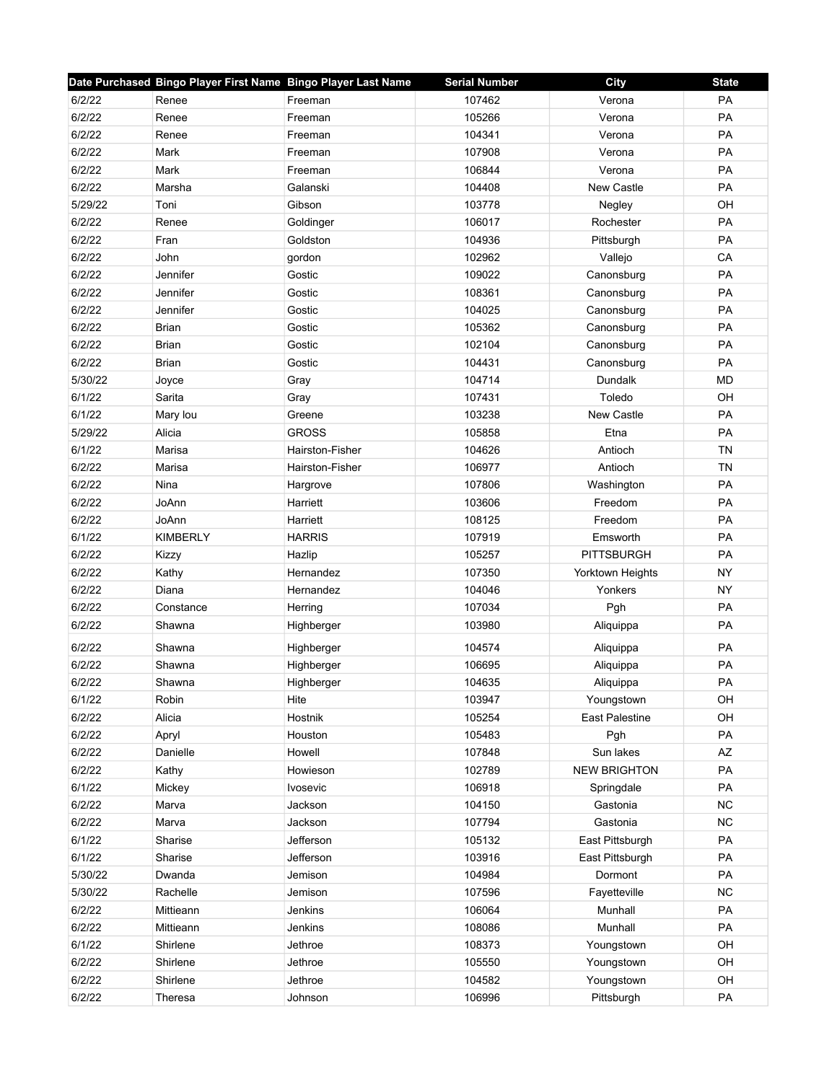|         | Date Purchased Bingo Player First Name Bingo Player Last Name |                 | <b>Serial Number</b> | <b>City</b>         | <b>State</b> |
|---------|---------------------------------------------------------------|-----------------|----------------------|---------------------|--------------|
| 6/2/22  | Renee                                                         | Freeman         | 107462               | Verona              | PA           |
| 6/2/22  | Renee                                                         | Freeman         | 105266               | Verona              | PA           |
| 6/2/22  | Renee                                                         | Freeman         | 104341               | Verona              | PA           |
| 6/2/22  | Mark                                                          | Freeman         | 107908               | Verona              | PA           |
| 6/2/22  | Mark                                                          | Freeman         | 106844               | Verona              | PA           |
| 6/2/22  | Marsha                                                        | Galanski        | 104408               | New Castle          | PA           |
| 5/29/22 | Toni                                                          | Gibson          | 103778               | Negley              | OH           |
| 6/2/22  | Renee                                                         | Goldinger       | 106017               | Rochester           | <b>PA</b>    |
| 6/2/22  | Fran                                                          | Goldston        | 104936               | Pittsburgh          | PA           |
| 6/2/22  | John                                                          | gordon          | 102962               | Vallejo             | CA           |
| 6/2/22  | Jennifer                                                      | Gostic          | 109022               | Canonsburg          | PA           |
| 6/2/22  | Jennifer                                                      | Gostic          | 108361               | Canonsburg          | PA           |
| 6/2/22  | Jennifer                                                      | Gostic          | 104025               | Canonsburg          | PA           |
| 6/2/22  | <b>Brian</b>                                                  | Gostic          | 105362               | Canonsburg          | PA           |
| 6/2/22  | Brian                                                         | Gostic          | 102104               | Canonsburg          | PA           |
| 6/2/22  | <b>Brian</b>                                                  | Gostic          | 104431               | Canonsburg          | PA           |
| 5/30/22 | Joyce                                                         | Gray            | 104714               | Dundalk             | <b>MD</b>    |
| 6/1/22  | Sarita                                                        | Gray            | 107431               | Toledo              | OH           |
| 6/1/22  | Mary lou                                                      | Greene          | 103238               | New Castle          | <b>PA</b>    |
| 5/29/22 | Alicia                                                        | <b>GROSS</b>    | 105858               | Etna                | PA           |
| 6/1/22  | Marisa                                                        | Hairston-Fisher | 104626               | Antioch             | <b>TN</b>    |
| 6/2/22  | Marisa                                                        | Hairston-Fisher | 106977               | Antioch             | <b>TN</b>    |
| 6/2/22  | Nina                                                          | Hargrove        | 107806               | Washington          | PA           |
| 6/2/22  | JoAnn                                                         | Harriett        | 103606               | Freedom             | PA           |
| 6/2/22  | JoAnn                                                         | Harriett        | 108125               | Freedom             | PA           |
| 6/1/22  | <b>KIMBERLY</b>                                               | <b>HARRIS</b>   | 107919               | Emsworth            | PA           |
| 6/2/22  | Kizzy                                                         | Hazlip          | 105257               | <b>PITTSBURGH</b>   | PA           |
| 6/2/22  | Kathy                                                         | Hernandez       | 107350               | Yorktown Heights    | <b>NY</b>    |
| 6/2/22  | Diana                                                         | Hernandez       | 104046               | Yonkers             | <b>NY</b>    |
| 6/2/22  | Constance                                                     | Herring         | 107034               | Pgh                 | <b>PA</b>    |
| 6/2/22  | Shawna                                                        | Highberger      | 103980               | Aliquippa           | PA           |
| 6/2/22  | Shawna                                                        | Highberger      | 104574               | Aliquippa           | PA           |
| 6/2/22  | Shawna                                                        | Highberger      | 106695               | Aliquippa           | PA           |
| 6/2/22  | Shawna                                                        | Highberger      | 104635               | Aliquippa           | PA           |
| 6/1/22  | Robin                                                         | Hite            | 103947               | Youngstown          | OH           |
| 6/2/22  | Alicia                                                        | Hostnik         | 105254               | East Palestine      | OH           |
| 6/2/22  | Apryl                                                         | Houston         | 105483               | Pgh                 | PA           |
| 6/2/22  | Danielle                                                      | Howell          | 107848               | Sun lakes           | <b>AZ</b>    |
| 6/2/22  | Kathy                                                         | Howieson        | 102789               | <b>NEW BRIGHTON</b> | PA           |
| 6/1/22  | Mickey                                                        | Ivosevic        | 106918               | Springdale          | PA           |
| 6/2/22  | Marva                                                         | Jackson         | 104150               | Gastonia            | <b>NC</b>    |
| 6/2/22  | Marva                                                         | Jackson         | 107794               | Gastonia            | <b>NC</b>    |
| 6/1/22  | Sharise                                                       | Jefferson       | 105132               | East Pittsburgh     | PA           |
| 6/1/22  | Sharise                                                       | Jefferson       | 103916               | East Pittsburgh     | PA           |
| 5/30/22 | Dwanda                                                        | Jemison         | 104984               | Dormont             | PA           |
| 5/30/22 | Rachelle                                                      | Jemison         | 107596               | Fayetteville        | NC           |
| 6/2/22  | Mittieann                                                     | Jenkins         | 106064               | Munhall             | PA           |
| 6/2/22  | Mittieann                                                     | Jenkins         | 108086               | Munhall             | PA           |
| 6/1/22  | Shirlene                                                      | Jethroe         | 108373               | Youngstown          | OH           |
| 6/2/22  | Shirlene                                                      | Jethroe         | 105550               | Youngstown          | OH           |
| 6/2/22  | Shirlene                                                      | Jethroe         | 104582               | Youngstown          | OH           |
| 6/2/22  | Theresa                                                       | Johnson         | 106996               | Pittsburgh          | PA           |
|         |                                                               |                 |                      |                     |              |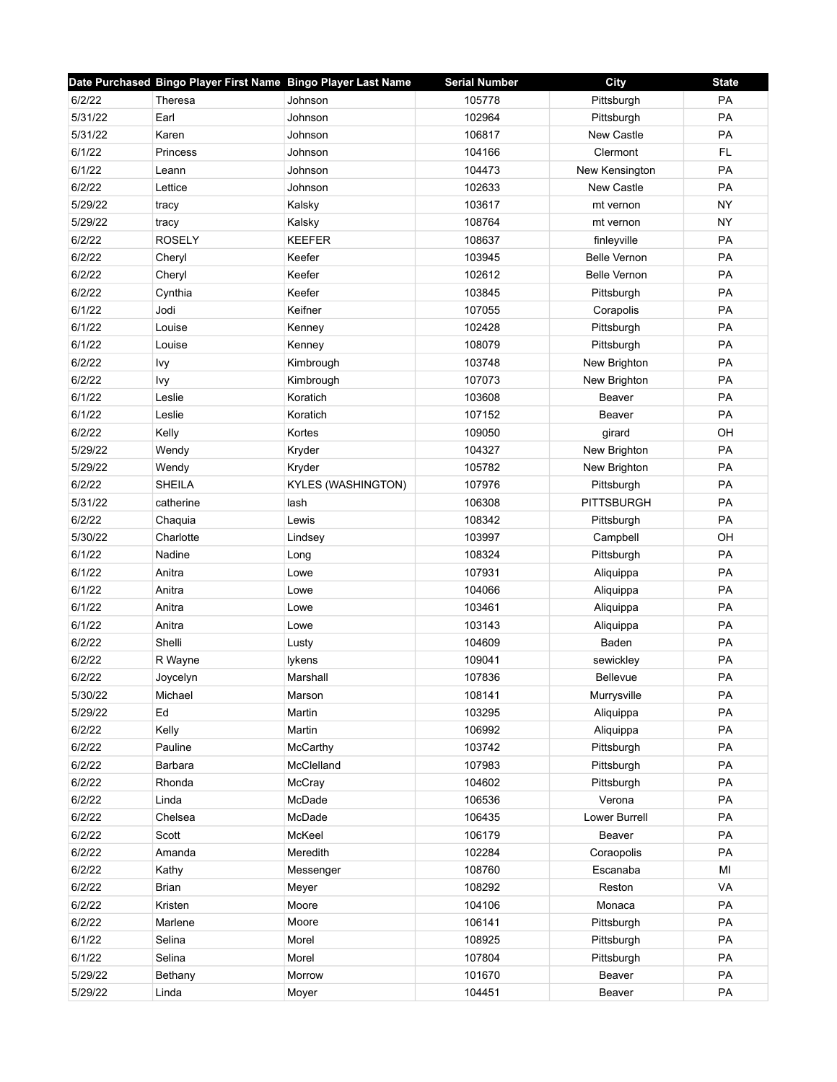|         | Date Purchased Bingo Player First Name Bingo Player Last Name |                    | <b>Serial Number</b> | City                | <b>State</b> |
|---------|---------------------------------------------------------------|--------------------|----------------------|---------------------|--------------|
| 6/2/22  | Theresa                                                       | Johnson            | 105778               | Pittsburgh          | PA           |
| 5/31/22 | Earl                                                          | Johnson            | 102964               | Pittsburgh          | PA           |
| 5/31/22 | Karen                                                         | Johnson            | 106817               | New Castle          | PA           |
| 6/1/22  | Princess                                                      | Johnson            | 104166               | Clermont            | FL           |
| 6/1/22  | Leann                                                         | Johnson            | 104473               | New Kensington      | PA           |
| 6/2/22  | Lettice                                                       | Johnson            | 102633               | <b>New Castle</b>   | PA           |
| 5/29/22 | tracy                                                         | Kalsky             | 103617               | mt vernon           | <b>NY</b>    |
| 5/29/22 | tracy                                                         | Kalsky             | 108764               | mt vernon           | <b>NY</b>    |
| 6/2/22  | <b>ROSELY</b>                                                 | <b>KEEFER</b>      | 108637               | finleyville         | PA           |
| 6/2/22  | Cheryl                                                        | Keefer             | 103945               | <b>Belle Vernon</b> | PA           |
| 6/2/22  | Cheryl                                                        | Keefer             | 102612               | <b>Belle Vernon</b> | PA           |
| 6/2/22  | Cynthia                                                       | Keefer             | 103845               | Pittsburgh          | PA           |
| 6/1/22  | Jodi                                                          | Keifner            | 107055               | Corapolis           | PA           |
| 6/1/22  | Louise                                                        | Kenney             | 102428               | Pittsburgh          | PA           |
| 6/1/22  | Louise                                                        | Kenney             | 108079               | Pittsburgh          | PA           |
| 6/2/22  | Ivy                                                           | Kimbrough          | 103748               | New Brighton        | PA           |
| 6/2/22  | Ivy                                                           | Kimbrough          | 107073               | New Brighton        | PA           |
| 6/1/22  | Leslie                                                        | Koratich           | 103608               | Beaver              | PA           |
| 6/1/22  | Leslie                                                        | Koratich           | 107152               | Beaver              | <b>PA</b>    |
| 6/2/22  | Kelly                                                         | Kortes             | 109050               | girard              | OH           |
| 5/29/22 | Wendy                                                         | Kryder             | 104327               | New Brighton        | PA           |
| 5/29/22 | Wendy                                                         | Kryder             | 105782               | New Brighton        | PA           |
| 6/2/22  | <b>SHEILA</b>                                                 | KYLES (WASHINGTON) | 107976               | Pittsburgh          | PA           |
| 5/31/22 | catherine                                                     | lash               | 106308               | <b>PITTSBURGH</b>   | PA           |
| 6/2/22  | Chaquia                                                       | Lewis              | 108342               | Pittsburgh          | PA           |
| 5/30/22 | Charlotte                                                     | Lindsey            | 103997               | Campbell            | OH           |
| 6/1/22  | Nadine                                                        | Long               | 108324               | Pittsburgh          | PA           |
| 6/1/22  | Anitra                                                        | Lowe               | 107931               | Aliquippa           | PA           |
| 6/1/22  | Anitra                                                        | Lowe               | 104066               | Aliquippa           | PA           |
| 6/1/22  | Anitra                                                        | Lowe               | 103461               | Aliquippa           | PA           |
| 6/1/22  | Anitra                                                        | Lowe               | 103143               | Aliquippa           | PA           |
| 6/2/22  | Shelli                                                        | Lusty              | 104609               | Baden               | PA           |
| 6/2/22  | R Wayne                                                       | lykens             | 109041               | sewickley           | PA           |
| 6/2/22  | Joycelyn                                                      | Marshall           | 107836               | <b>Bellevue</b>     | PA           |
| 5/30/22 | Michael                                                       | Marson             | 108141               | Murrysville         | PA           |
| 5/29/22 | Ed                                                            | Martin             | 103295               | Aliquippa           | PA           |
| 6/2/22  | Kelly                                                         | Martin             | 106992               | Aliquippa           | PA           |
| 6/2/22  | Pauline                                                       | McCarthy           | 103742               | Pittsburgh          | PA           |
| 6/2/22  | Barbara                                                       | McClelland         | 107983               | Pittsburgh          | PA           |
| 6/2/22  | Rhonda                                                        | McCray             | 104602               | Pittsburgh          | PA           |
| 6/2/22  | Linda                                                         | McDade             | 106536               | Verona              | PA           |
| 6/2/22  | Chelsea                                                       | McDade             | 106435               | Lower Burrell       | PA           |
| 6/2/22  | Scott                                                         | McKeel             | 106179               | Beaver              | PA           |
| 6/2/22  | Amanda                                                        | Meredith           | 102284               | Coraopolis          | PA           |
| 6/2/22  | Kathy                                                         | Messenger          | 108760               | Escanaba            | MI           |
| 6/2/22  | <b>Brian</b>                                                  | Meyer              | 108292               | Reston              | VA           |
| 6/2/22  | Kristen                                                       | Moore              | 104106               | Monaca              | PA           |
| 6/2/22  | Marlene                                                       | Moore              | 106141               | Pittsburgh          | PA           |
| 6/1/22  | Selina                                                        | Morel              | 108925               | Pittsburgh          | PA           |
| 6/1/22  | Selina                                                        | Morel              | 107804               | Pittsburgh          | PA           |
| 5/29/22 | Bethany                                                       | Morrow             | 101670               | Beaver              | PA           |
| 5/29/22 | Linda                                                         | Moyer              | 104451               | Beaver              | PA           |
|         |                                                               |                    |                      |                     |              |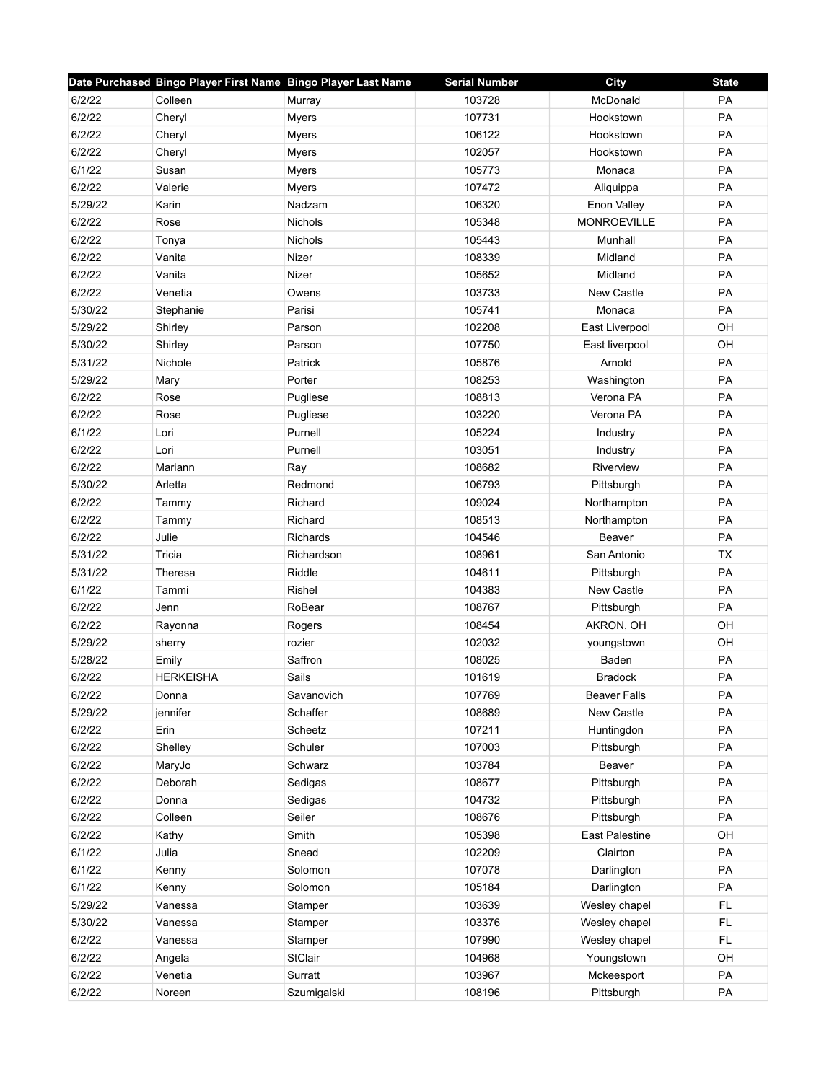|         | Date Purchased Bingo Player First Name Bingo Player Last Name |                | <b>Serial Number</b> | City                  | <b>State</b> |
|---------|---------------------------------------------------------------|----------------|----------------------|-----------------------|--------------|
| 6/2/22  | Colleen                                                       | Murray         | 103728               | McDonald              | PA           |
| 6/2/22  | Cheryl                                                        | <b>Myers</b>   | 107731               | Hookstown             | PA           |
| 6/2/22  | Cheryl                                                        | <b>Myers</b>   | 106122               | Hookstown             | PA           |
| 6/2/22  | Cheryl                                                        | <b>Myers</b>   | 102057               | Hookstown             | PA           |
| 6/1/22  | Susan                                                         | Myers          | 105773               | Monaca                | PA           |
| 6/2/22  | Valerie                                                       | Myers          | 107472               | Aliquippa             | PA           |
| 5/29/22 | Karin                                                         | Nadzam         | 106320               | Enon Valley           | PA           |
| 6/2/22  | Rose                                                          | <b>Nichols</b> | 105348               | <b>MONROEVILLE</b>    | PA           |
| 6/2/22  | Tonya                                                         | <b>Nichols</b> | 105443               | Munhall               | PA           |
| 6/2/22  | Vanita                                                        | Nizer          | 108339               | Midland               | PA           |
| 6/2/22  | Vanita                                                        | Nizer          | 105652               | Midland               | PA           |
| 6/2/22  | Venetia                                                       | Owens          | 103733               | New Castle            | PA           |
| 5/30/22 | Stephanie                                                     | Parisi         | 105741               | Monaca                | PA           |
| 5/29/22 | Shirley                                                       | Parson         | 102208               | East Liverpool        | OH           |
| 5/30/22 | Shirley                                                       | Parson         | 107750               | East liverpool        | OH           |
| 5/31/22 | Nichole                                                       | Patrick        | 105876               | Arnold                | PA           |
| 5/29/22 | Mary                                                          | Porter         | 108253               | Washington            | PA           |
| 6/2/22  | Rose                                                          | Pugliese       | 108813               | Verona PA             | PA           |
| 6/2/22  | Rose                                                          | Pugliese       | 103220               | Verona PA             | <b>PA</b>    |
| 6/1/22  | Lori                                                          | Purnell        | 105224               | Industry              | PA           |
| 6/2/22  | Lori                                                          | Purnell        | 103051               | Industry              | PA           |
| 6/2/22  | Mariann                                                       | Ray            | 108682               | Riverview             | PA           |
| 5/30/22 | Arletta                                                       | Redmond        | 106793               | Pittsburgh            | PA           |
| 6/2/22  | Tammy                                                         | Richard        | 109024               | Northampton           | PA           |
| 6/2/22  | Tammy                                                         | Richard        | 108513               | Northampton           | PA           |
| 6/2/22  | Julie                                                         | Richards       | 104546               | Beaver                | PA           |
| 5/31/22 | Tricia                                                        | Richardson     | 108961               | San Antonio           | <b>TX</b>    |
| 5/31/22 | Theresa                                                       | Riddle         | 104611               | Pittsburgh            | PA           |
| 6/1/22  | Tammi                                                         | Rishel         | 104383               | New Castle            | PA           |
| 6/2/22  | Jenn                                                          | RoBear         | 108767               | Pittsburgh            | <b>PA</b>    |
| 6/2/22  | Rayonna                                                       | Rogers         | 108454               | AKRON, OH             | OH           |
| 5/29/22 | sherry                                                        | rozier         | 102032               | youngstown            | OH           |
| 5/28/22 | Emily                                                         | Saffron        | 108025               | Baden                 | PA           |
| 6/2/22  | <b>HERKEISHA</b>                                              | Sails          | 101619               | <b>Bradock</b>        | PA           |
| 6/2/22  | Donna                                                         | Savanovich     | 107769               | <b>Beaver Falls</b>   | PA           |
| 5/29/22 | jennifer                                                      | Schaffer       | 108689               | New Castle            | PA           |
| 6/2/22  | Erin                                                          | Scheetz        | 107211               | Huntingdon            | PA           |
| 6/2/22  | Shelley                                                       | Schuler        | 107003               | Pittsburgh            | PA           |
| 6/2/22  | MaryJo                                                        | Schwarz        | 103784               | Beaver                | PA           |
| 6/2/22  | Deborah                                                       | Sedigas        | 108677               | Pittsburgh            | PA           |
| 6/2/22  | Donna                                                         | Sedigas        | 104732               | Pittsburgh            | PA           |
| 6/2/22  | Colleen                                                       | Seiler         | 108676               | Pittsburgh            | PA           |
| 6/2/22  | Kathy                                                         | Smith          | 105398               | <b>East Palestine</b> | OH           |
| 6/1/22  | Julia                                                         | Snead          | 102209               | Clairton              | PA           |
| 6/1/22  | Kenny                                                         | Solomon        | 107078               | Darlington            | PA           |
| 6/1/22  | Kenny                                                         | Solomon        | 105184               | Darlington            | PA           |
| 5/29/22 | Vanessa                                                       | Stamper        | 103639               | Wesley chapel         | <b>FL</b>    |
| 5/30/22 | Vanessa                                                       | Stamper        | 103376               | Wesley chapel         | <b>FL</b>    |
| 6/2/22  | Vanessa                                                       | Stamper        | 107990               | Wesley chapel         | <b>FL</b>    |
| 6/2/22  | Angela                                                        | StClair        | 104968               | Youngstown            | OH           |
| 6/2/22  | Venetia                                                       | Surratt        | 103967               | Mckeesport            | PA           |
| 6/2/22  | Noreen                                                        | Szumigalski    | 108196               | Pittsburgh            | PA           |
|         |                                                               |                |                      |                       |              |